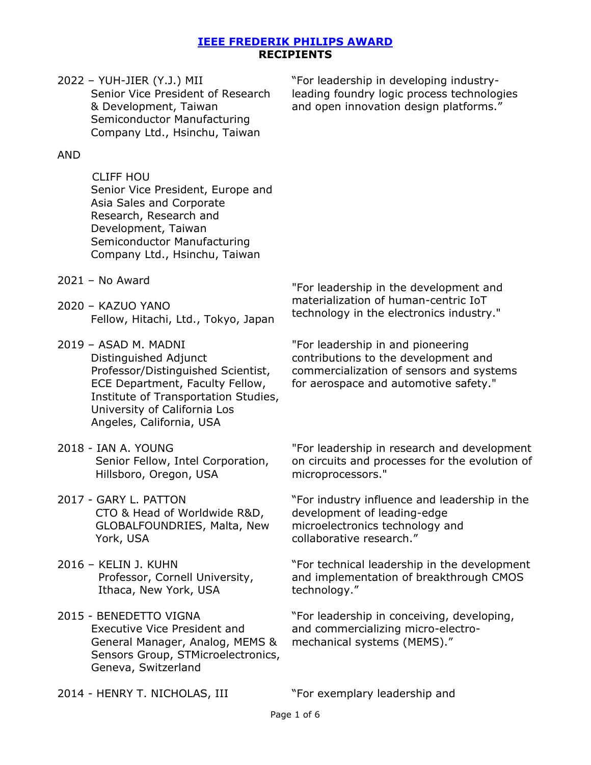# 2022 – YUH-JIER (Y.J.) MII

 Senior Vice President of Research & Development, Taiwan Semiconductor Manufacturing Company Ltd., Hsinchu, Taiwan

"For leadership in developing industryleading foundry logic process technologies and open innovation design platforms."

# AND

CLIFF HOU Senior Vice President, Europe and Asia Sales and Corporate Research, Research and Development, Taiwan Semiconductor Manufacturing Company Ltd., Hsinchu, Taiwan

- 2021 No Award
- 2020 KAZUO YANO Fellow, Hitachi, Ltd., Tokyo, Japan

2019 – ASAD M. MADNI Distinguished Adjunct Professor/Distinguished Scientist, ECE Department, Faculty Fellow, Institute of Transportation Studies, University of California Los Angeles, California, USA

- 2018 IAN A. YOUNG Senior Fellow, Intel Corporation, Hillsboro, Oregon, USA
- 2017 GARY L. PATTON CTO & Head of Worldwide R&D, GLOBALFOUNDRIES, Malta, New York, USA
- 2016 KELIN J. KUHN Professor, Cornell University, Ithaca, New York, USA
- 2015 BENEDETTO VIGNA Executive Vice President and General Manager, Analog, MEMS & Sensors Group, STMicroelectronics, Geneva, Switzerland

"For leadership in the development and materialization of human-centric IoT technology in the electronics industry."

"For leadership in and pioneering contributions to the development and commercialization of sensors and systems for aerospace and automotive safety."

"For leadership in research and development on circuits and processes for the evolution of microprocessors."

"For industry influence and leadership in the development of leading-edge microelectronics technology and collaborative research."

"For technical leadership in the development and implementation of breakthrough CMOS technology."

"For leadership in conceiving, developing, and commercializing micro-electromechanical systems (MEMS)."

2014 - HENRY T. NICHOLAS, III The "For exemplary leadership and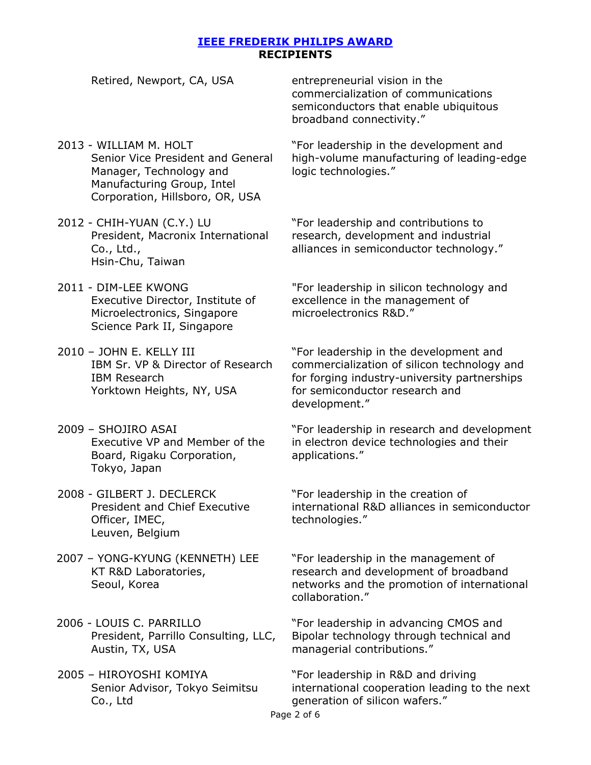| Retired, Newport, CA, USA                                                                                                                               | entrepreneurial vision in the<br>commercialization of communications<br>semiconductors that enable ubiquitous<br>broadband connectivity."                                                |
|---------------------------------------------------------------------------------------------------------------------------------------------------------|------------------------------------------------------------------------------------------------------------------------------------------------------------------------------------------|
| 2013 - WILLIAM M. HOLT<br>Senior Vice President and General<br>Manager, Technology and<br>Manufacturing Group, Intel<br>Corporation, Hillsboro, OR, USA | "For leadership in the development and<br>high-volume manufacturing of leading-edge<br>logic technologies."                                                                              |
| 2012 - CHIH-YUAN (C.Y.) LU<br>President, Macronix International<br>Co., Ltd.,<br>Hsin-Chu, Taiwan                                                       | "For leadership and contributions to<br>research, development and industrial<br>alliances in semiconductor technology."                                                                  |
| 2011 - DIM-LEE KWONG<br>Executive Director, Institute of<br>Microelectronics, Singapore<br>Science Park II, Singapore                                   | "For leadership in silicon technology and<br>excellence in the management of<br>microelectronics R&D."                                                                                   |
| 2010 - JOHN E. KELLY III<br>IBM Sr. VP & Director of Research<br><b>IBM Research</b><br>Yorktown Heights, NY, USA                                       | "For leadership in the development and<br>commercialization of silicon technology and<br>for forging industry-university partnerships<br>for semiconductor research and<br>development." |
| 2009 - SHOJIRO ASAI<br>Executive VP and Member of the<br>Board, Rigaku Corporation,                                                                     | "For leadership in research and development<br>in electron device technologies and their<br>applications."                                                                               |

2008 - GILBERT J. DECLERCK President and Chief Executive Officer, IMEC, Leuven, Belgium

Tokyo, Japan

- 2007 YONG-KYUNG (KENNETH) LEE KT R&D Laboratories, Seoul, Korea
- 2006 LOUIS C. PARRILLO President, Parrillo Consulting, LLC, Austin, TX, USA
- 2005 HIROYOSHI KOMIYA Senior Advisor, Tokyo Seimitsu Co., Ltd

"For leadership in the creation of international R&D alliances in semiconductor technologies."

"For leadership in the management of research and development of broadband networks and the promotion of international collaboration."

"For leadership in advancing CMOS and Bipolar technology through technical and managerial contributions."

"For leadership in R&D and driving international cooperation leading to the next generation of silicon wafers."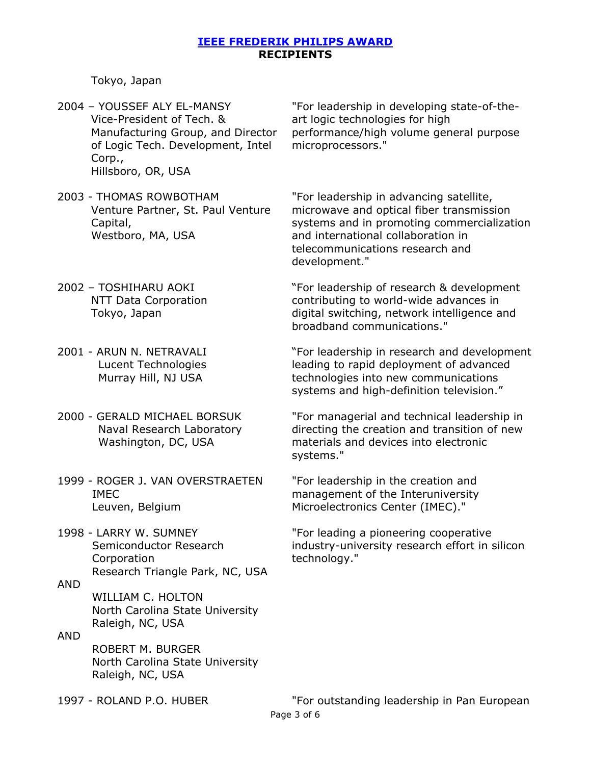Tokyo, Japan

2004 – YOUSSEF ALY EL-MANSY Vice-President of Tech. & Manufacturing Group, and Director of Logic Tech. Development, Intel Corp., Hillsboro, OR, USA

"For leadership in developing state-of-theart logic technologies for high performance/high volume general purpose microprocessors."

2003 - THOMAS ROWBOTHAM Venture Partner, St. Paul Venture Capital, Westboro, MA, USA

"For leadership in advancing satellite, microwave and optical fiber transmission systems and in promoting commercialization and international collaboration in telecommunications research and development."

- 2002 TOSHIHARU AOKI NTT Data Corporation Tokyo, Japan
- 2001 ARUN N. NETRAVALI Lucent Technologies Murray Hill, NJ USA
- 2000 GERALD MICHAEL BORSUK Naval Research Laboratory Washington, DC, USA
- 1999 ROGER J. VAN OVERSTRAETEN IMEC Leuven, Belgium
- 1998 LARRY W. SUMNEY Semiconductor Research **Corporation** Research Triangle Park, NC, USA

WILLIAM C. HOLTON North Carolina State University Raleigh, NC, USA

AND ROBERT M. BURGER North Carolina State University Raleigh, NC, USA

"For leadership of research & development contributing to world-wide advances in digital switching, network intelligence and broadband communications."

"For leadership in research and development leading to rapid deployment of advanced technologies into new communications systems and high-definition television."

"For managerial and technical leadership in directing the creation and transition of new materials and devices into electronic systems."

"For leadership in the creation and management of the Interuniversity Microelectronics Center (IMEC)."

"For leading a pioneering cooperative industry-university research effort in silicon technology."

AND

Page 3 of 6 1997 - ROLAND P.O. HUBER "For outstanding leadership in Pan European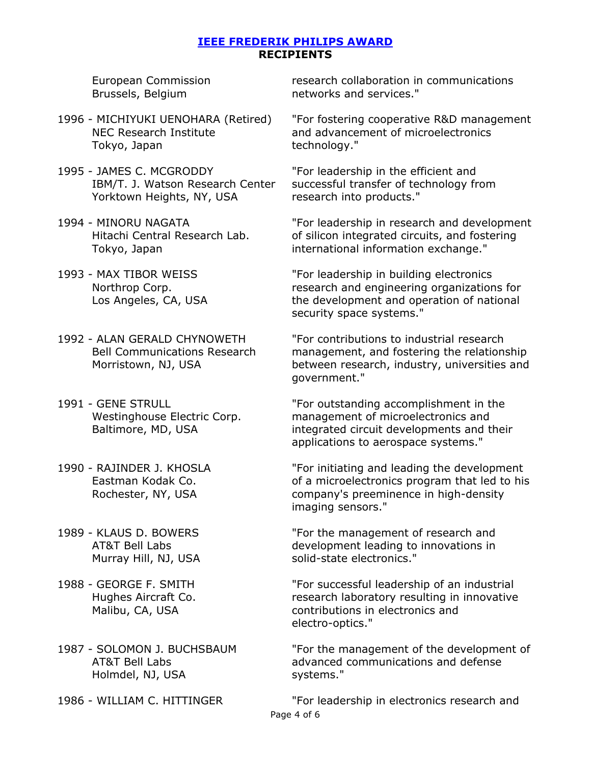European Commission Brussels, Belgium

- 1996 MICHIYUKI UENOHARA (Retired) NEC Research Institute Tokyo, Japan
- 1995 JAMES C. MCGRODDY IBM/T. J. Watson Research Center Yorktown Heights, NY, USA
- 1994 MINORU NAGATA Hitachi Central Research Lab. Tokyo, Japan
- 1993 MAX TIBOR WEISS Northrop Corp. Los Angeles, CA, USA
- 1992 ALAN GERALD CHYNOWETH Bell Communications Research Morristown, NJ, USA
- 1991 GENE STRULL Westinghouse Electric Corp. Baltimore, MD, USA
- 1990 RAJINDER J. KHOSLA Eastman Kodak Co. Rochester, NY, USA
- 1989 KLAUS D. BOWERS AT&T Bell Labs Murray Hill, NJ, USA
- 1988 GEORGE F. SMITH Hughes Aircraft Co. Malibu, CA, USA
- 1987 SOLOMON J. BUCHSBAUM AT&T Bell Labs Holmdel, NJ, USA
- 

research collaboration in communications networks and services."

"For fostering cooperative R&D management and advancement of microelectronics technology."

"For leadership in the efficient and successful transfer of technology from research into products."

"For leadership in research and development of silicon integrated circuits, and fostering international information exchange."

"For leadership in building electronics research and engineering organizations for the development and operation of national security space systems."

"For contributions to industrial research management, and fostering the relationship between research, industry, universities and government."

"For outstanding accomplishment in the management of microelectronics and integrated circuit developments and their applications to aerospace systems."

"For initiating and leading the development of a microelectronics program that led to his company's preeminence in high-density imaging sensors."

"For the management of research and development leading to innovations in solid-state electronics."

"For successful leadership of an industrial research laboratory resulting in innovative contributions in electronics and electro-optics."

"For the management of the development of advanced communications and defense systems."

Page 4 of 6 1986 - WILLIAM C. HITTINGER "For leadership in electronics research and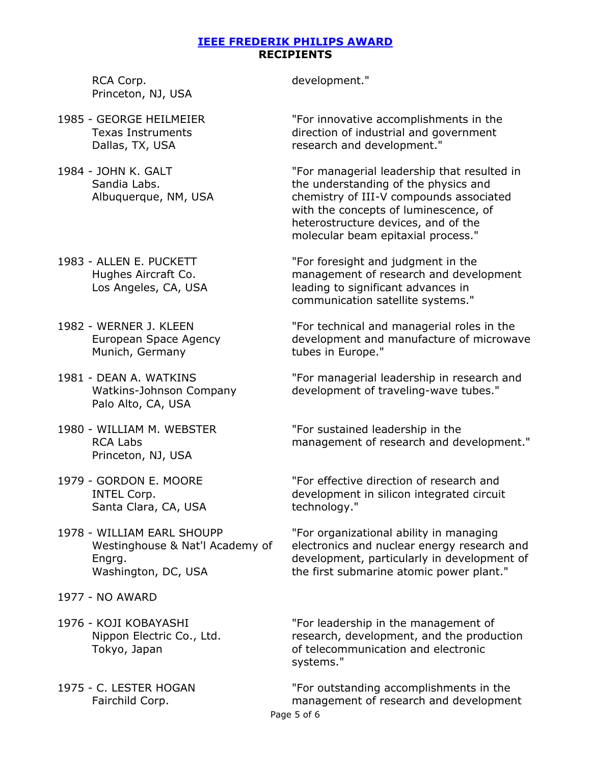RCA Corp. Princeton, NJ, USA

- 1985 GEORGE HEILMEIER Texas Instruments Dallas, TX, USA
- 1984 JOHN K. GALT Sandia Labs. Albuquerque, NM, USA
- 1983 ALLEN E. PUCKETT Hughes Aircraft Co. Los Angeles, CA, USA
- 1982 WERNER J. KLEEN European Space Agency Munich, Germany
- 1981 DEAN A. WATKINS Watkins-Johnson Company Palo Alto, CA, USA
- 1980 WILLIAM M. WEBSTER RCA Labs Princeton, NJ, USA
- 1979 GORDON E. MOORE INTEL Corp. Santa Clara, CA, USA
- 1978 WILLIAM EARL SHOUPP Westinghouse & Nat'l Academy of Engrg. Washington, DC, USA
- 1977 NO AWARD
- 1976 KOJI KOBAYASHI Nippon Electric Co., Ltd. Tokyo, Japan
- 1975 C. LESTER HOGAN Fairchild Corp.

development."

"For innovative accomplishments in the direction of industrial and government research and development."

"For managerial leadership that resulted in the understanding of the physics and chemistry of III-V compounds associated with the concepts of luminescence, of heterostructure devices, and of the molecular beam epitaxial process."

"For foresight and judgment in the management of research and development leading to significant advances in communication satellite systems."

"For technical and managerial roles in the development and manufacture of microwave tubes in Europe."

"For managerial leadership in research and development of traveling-wave tubes."

"For sustained leadership in the management of research and development."

"For effective direction of research and development in silicon integrated circuit technology."

"For organizational ability in managing electronics and nuclear energy research and development, particularly in development of the first submarine atomic power plant."

"For leadership in the management of research, development, and the production of telecommunication and electronic systems."

Page 5 of 6 "For outstanding accomplishments in the management of research and development